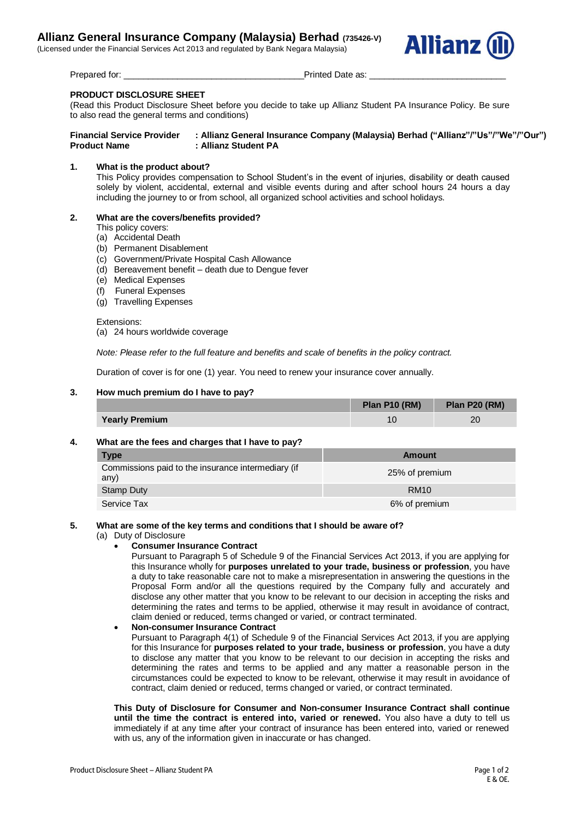(Licensed under the Financial Services Act 2013 and regulated by Bank Negara Malaysia)



Prepared for: example are as: example as: example a printed Date as:  $\blacksquare$ 

# **PRODUCT DISCLOSURE SHEET**

(Read this Product Disclosure Sheet before you decide to take up Allianz Student PA Insurance Policy. Be sure to also read the general terms and conditions)

**Financial Service Provider : Allianz General Insurance Company (Malaysia) Berhad ("Allianz"/"Us"/"We"/"Our") Product Name : Allianz Student PA**

# **1. What is the product about?**

This Policy provides compensation to School Student's in the event of injuries, disability or death caused solely by violent, accidental, external and visible events during and after school hours 24 hours a day including the journey to or from school, all organized school activities and school holidays.

# **2. What are the covers/benefits provided?**

This policy covers:

- (a) Accidental Death
- (b) Permanent Disablement
- (c) Government/Private Hospital Cash Allowance
- (d) Bereavement benefit death due to Dengue fever
- (e) Medical Expenses
- (f) Funeral Expenses
- (g) Travelling Expenses

Extensions:

(a) 24 hours worldwide coverage

*Note: Please refer to the full feature and benefits and scale of benefits in the policy contract.*

Duration of cover is for one (1) year. You need to renew your insurance cover annually.

## **3. How much premium do I have to pay?**

|                       | Plan P10 (RM) | Plan P20 (RM) |
|-----------------------|---------------|---------------|
| <b>Yearly Premium</b> |               | 20            |

## **4. What are the fees and charges that I have to pay?**

| <b>Type</b>                                                | Amount         |
|------------------------------------------------------------|----------------|
| Commissions paid to the insurance intermediary (if<br>any) | 25% of premium |
| Stamp Duty                                                 | <b>RM10</b>    |
| Service Tax                                                | 6% of premium  |

## **5. What are some of the key terms and conditions that I should be aware of?**

(a) Duty of Disclosure

## **Consumer Insurance Contract**

Pursuant to Paragraph 5 of Schedule 9 of the Financial Services Act 2013, if you are applying for this Insurance wholly for **purposes unrelated to your trade, business or profession**, you have a duty to take reasonable care not to make a misrepresentation in answering the questions in the Proposal Form and/or all the questions required by the Company fully and accurately and disclose any other matter that you know to be relevant to our decision in accepting the risks and determining the rates and terms to be applied, otherwise it may result in avoidance of contract, claim denied or reduced, terms changed or varied, or contract terminated.

## **Non-consumer Insurance Contract**

Pursuant to Paragraph 4(1) of Schedule 9 of the Financial Services Act 2013, if you are applying for this Insurance for **purposes related to your trade, business or profession**, you have a duty to disclose any matter that you know to be relevant to our decision in accepting the risks and determining the rates and terms to be applied and any matter a reasonable person in the circumstances could be expected to know to be relevant, otherwise it may result in avoidance of contract, claim denied or reduced, terms changed or varied, or contract terminated.

**This Duty of Disclosure for Consumer and Non-consumer Insurance Contract shall continue until the time the contract is entered into, varied or renewed.** You also have a duty to tell us immediately if at any time after your contract of insurance has been entered into, varied or renewed with us, any of the information given in inaccurate or has changed.